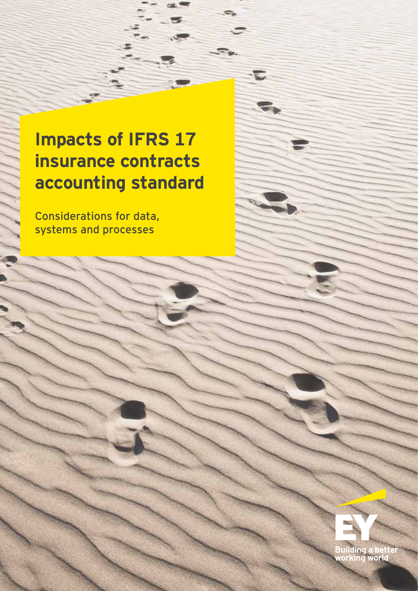# **Impacts of IFRS 17 insurance contracts accounting standard**

E

Considerations for data, systems and processes

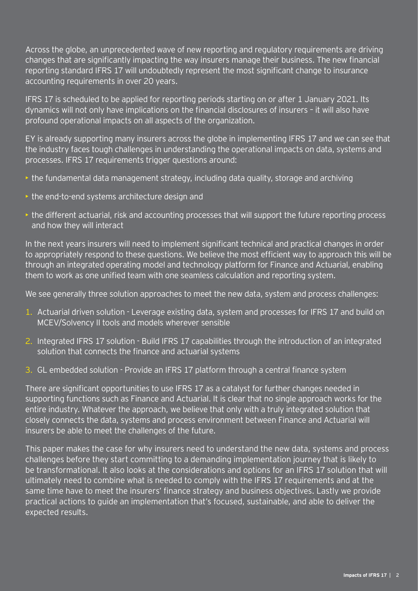Across the globe, an unprecedented wave of new reporting and regulatory requirements are driving changes that are significantly impacting the way insurers manage their business. The new financial reporting standard IFRS 17 will undoubtedly represent the most significant change to insurance accounting requirements in over 20 years.

IFRS 17 is scheduled to be applied for reporting periods starting on or after 1 January 2021. Its dynamics will not only have implications on the financial disclosures of insurers – it will also have profound operational impacts on all aspects of the organization.

EY is already supporting many insurers across the globe in implementing IFRS 17 and we can see that the industry faces tough challenges in understanding the operational impacts on data, systems and processes. IFRS 17 requirements trigger questions around:

- $\rightarrow$  the fundamental data management strategy, including data quality, storage and archiving
- the end-to-end systems architecture design and
- the different actuarial, risk and accounting processes that will support the future reporting process and how they will interact

In the next years insurers will need to implement significant technical and practical changes in order to appropriately respond to these questions. We believe the most efficient way to approach this will be through an integrated operating model and technology platform for Finance and Actuarial, enabling them to work as one unified team with one seamless calculation and reporting system.

We see generally three solution approaches to meet the new data, system and process challenges:

- 1. Actuarial driven solution Leverage existing data, system and processes for IFRS 17 and build on MCEV/Solvency II tools and models wherever sensible
- 2. Integrated IFRS 17 solution Build IFRS 17 capabilities through the introduction of an integrated solution that connects the finance and actuarial systems
- 3. GL embedded solution Provide an IFRS 17 platform through a central finance system

There are significant opportunities to use IFRS 17 as a catalyst for further changes needed in supporting functions such as Finance and Actuarial. It is clear that no single approach works for the entire industry. Whatever the approach, we believe that only with a truly integrated solution that closely connects the data, systems and process environment between Finance and Actuarial will insurers be able to meet the challenges of the future.

This paper makes the case for why insurers need to understand the new data, systems and process challenges before they start committing to a demanding implementation journey that is likely to be transformational. It also looks at the considerations and options for an IFRS 17 solution that will ultimately need to combine what is needed to comply with the IFRS 17 requirements and at the same time have to meet the insurers' finance strategy and business objectives. Lastly we provide practical actions to guide an implementation that's focused, sustainable, and able to deliver the expected results.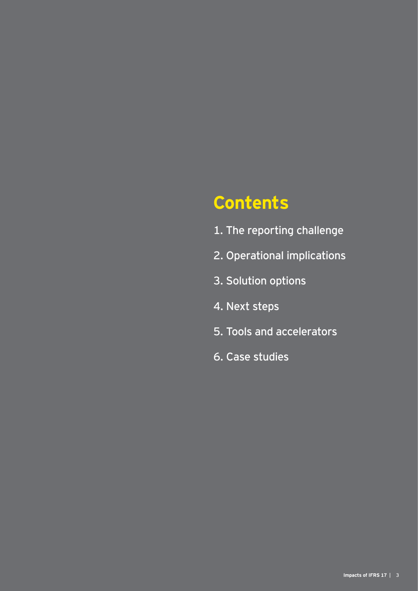# **Contents**

- 1. The reporting challenge
- 2. Operational implications
- 3. Solution options
- 4. Next steps
- 5. Tools and accelerators
- 6. Case studies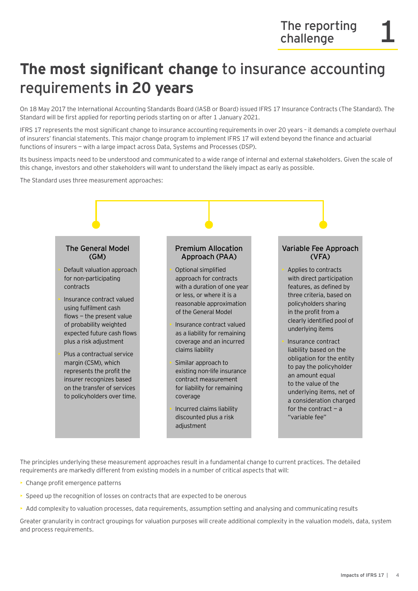### **The most significant change** to insurance accounting requirements **in 20 years**

On 18 May 2017 the International Accounting Standards Board (IASB or Board) issued IFRS 17 Insurance Contracts (The Standard). The Standard will be first applied for reporting periods starting on or after 1 January 2021.

IFRS 17 represents the most significant change to insurance accounting requirements in over 20 years – it demands a complete overhaul of insurers' financial statements. This major change program to implement IFRS 17 will extend beyond the finance and actuarial functions of insurers — with a large impact across Data, Systems and Processes (DSP).

Its business impacts need to be understood and communicated to a wide range of internal and external stakeholders. Given the scale of this change, investors and other stakeholders will want to understand the likely impact as early as possible.

The Standard uses three measurement approaches:



The principles underlying these measurement approaches result in a fundamental change to current practices. The detailed requirements are markedly different from existing models in a number of critical aspects that will:

- Change profit emergence patterns
- Speed up the recognition of losses on contracts that are expected to be onerous
- Add complexity to valuation processes, data requirements, assumption setting and analysing and communicating results

Greater granularity in contract groupings for valuation purposes will create additional complexity in the valuation models, data, system and process requirements.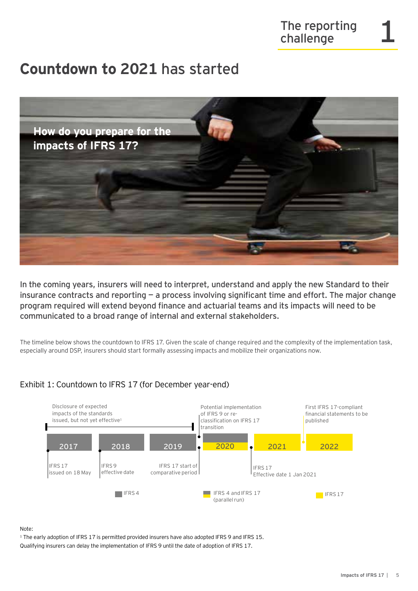### **Countdown to 2021** has started



In the coming years, insurers will need to interpret, understand and apply the new Standard to their insurance contracts and reporting  $-$  a process involving significant time and effort. The major change program required will extend beyond finance and actuarial teams and its impacts will need to be communicated to a broad range of internal and external stakeholders.

The timeline below shows the countdown to IFRS 17. Given the scale of change required and the complexity of the implementation task, especially around DSP, insurers should start formally assessing impacts and mobilize their organizations now.



### Exhibit 1: Countdown to IFRS 17 (for December year-end)

Note:

<sup>1</sup> The early adoption of IFRS 17 is permitted provided insurers have also adopted IFRS 9 and IFRS 15. Qualifying insurers can delay the implementation of IFRS 9 until the date of adoption of IFRS 17.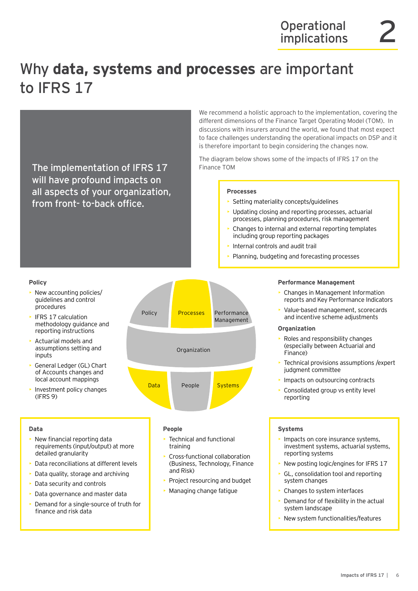# Why **data, systems and processes** are important to IFRS 17

The implementation of IFRS 17 will have profound impacts on all aspects of your organization, from front- to-back office.

We recommend a holistic approach to the implementation, covering the different dimensions of the Finance Target Operating Model (TOM). In discussions with insurers around the world, we found that most expect to face challenges understanding the operational impacts on DSP and it is therefore important to begin considering the changes now.

The diagram below shows some of the impacts of IFRS 17 on the Finance TOM

#### **Processes**

- Setting materiality concepts/guidelines
- Updating closing and reporting processes, actuarial processes, planning procedures, risk management
- Changes to internal and external reporting templates including group reporting packages
- Internal controls and audit trail
- Planning, budgeting and forecasting processes

#### **Policy**

- New accounting policies/ guidelines and control procedures
- IFRS 17 calculation methodology guidance and reporting instructions
- Actuarial models and assumptions setting and inputs
- General Ledger (GL) Chart of Accounts changes and local account mappings
- Investment policy changes (IFRS 9)

#### **Data**

- New financial reporting data requirements (input/output) at more detailed granularity
- Data reconciliations at different levels
- Data quality, storage and archiving
- Data security and controls
- Data governance and master data
- Demand for a single-source of truth for finance and risk data



#### **People**

- Technical and functional training
- Cross-functional collaboration (Business, Technology, Finance and Risk)
- Project resourcing and budget
- Managing change fatigue

#### **Performance Management**

- Changes in Management Information reports and Key Performance Indicators
- Value-based management, scorecards and incentive scheme adjustments

#### **Organization**

- Roles and responsibility changes (especially between Actuarial and Finance)
- Technical provisions assumptions /expert judgment committee
- Impacts on outsourcing contracts
- Consolidated group vs entity level reporting

#### **Systems**

- Impacts on core insurance systems, investment systems, actuarial systems, reporting systems
- New posting logic/engines for IFRS 17
- GL, consolidation tool and reporting system changes
- Changes to system interfaces
- Demand for of flexibility in the actual system landscape
- New system functionalities/features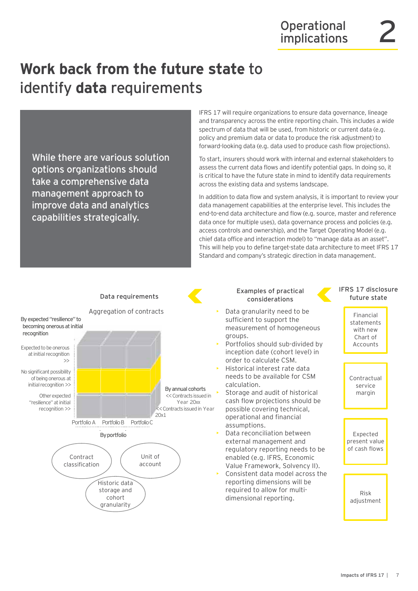# **Work back from the future state** to identify **data** requirements

While there are various solution options organizations should take a comprehensive data management approach to improve data and analytics capabilities strategically.

IFRS 17 will require organizations to ensure data governance, lineage and transparency across the entire reporting chain. This includes a wide spectrum of data that will be used, from historic or current data (e.g. policy and premium data or data to produce the risk adjustment) to forward-looking data (e.g. data used to produce cash flow projections).

To start, insurers should work with internal and external stakeholders to assess the current data flows and identify potential gaps. In doing so, it is critical to have the future state in mind to identify data requirements across the existing data and systems landscape.

In addition to data flow and system analysis, it is important to review your data management capabilities at the enterprise level. This includes the end-to-end data architecture and flow (e.g. source, master and reference data once for multiple uses), data governance process and policies (e.g. access controls and ownership), and the Target Operating Model (e.g. chief data office and interaction model) to "manage data as an asset". This will help you to define target-state data architecture to meet IFRS 17 Standard and company's strategic direction in data management.



### **Examples of practical considerations Data requirements**

- Data granularity need to be sufficient to support the measurement of homogeneous groups.
- Portfolios should sub-divided by inception date (cohort level) in order to calculate CSM.
- Historical interest rate data needs to be available for CSM calculation.
- Storage and audit of historical cash flow projections should be possible covering technical, operational and financial assumptions.
- Data reconciliation between external management and regulatory reporting needs to be enabled (e.g. IFRS, Economic Value Framework, Solvency II).
- Consistent data model across the reporting dimensions will be required to allow for multidimensional reporting.

#### **IFRS 17 disclosure future state**

Financial statements with new Chart of Accounts

Contractual service margin

**Expected** present value of cash flows

Risk adjustment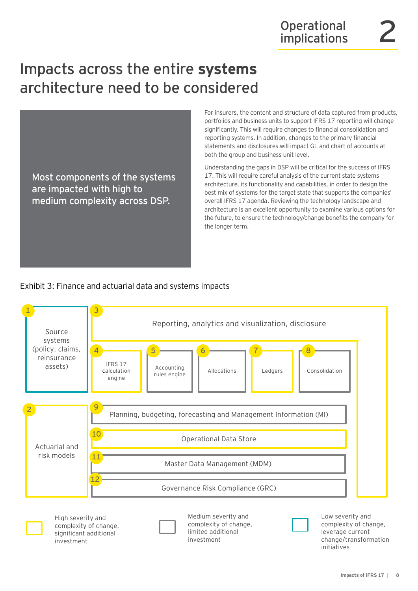## Impacts across the entire **systems** architecture need to be considered

Most components of the systems are impacted with high to medium complexity across DSP.

For insurers, the content and structure of data captured from products, portfolios and business units to support IFRS 17 reporting will change significantly. This will require changes to financial consolidation and reporting systems. In addition, changes to the primary financial statements and disclosures will impact GL and chart of accounts at both the group and business unit level.

Understanding the gaps in DSP will be critical for the success of IFRS 17. This will require careful analysis of the current state systems architecture, its functionality and capabilities, in order to design the best mix of systems for the target state that supports the companies' overall IFRS 17 agenda. Reviewing the technology landscape and architecture is an excellent opportunity to examine various options for the future, to ensure the technology/change benefits the company for the longer term.

### Exhibit 3: Finance and actuarial data and systems impacts

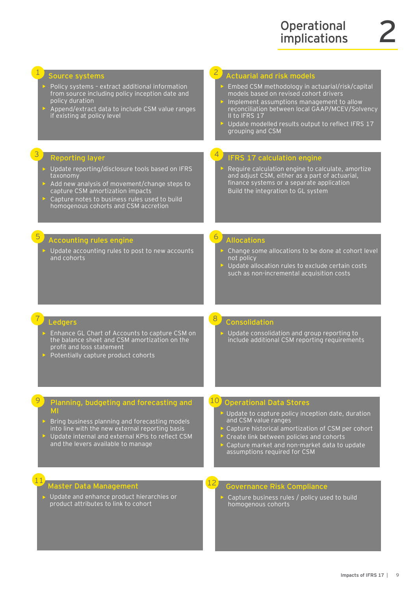| Source systems<br>Policy systems - extract additional information<br>from source including policy inception date and<br>policy duration<br>Append/extract data to include CSM value ranges<br>if existing at policy level                                                 | $\overline{2}$<br><b>Actuarial and risk models</b><br>Embed CSM methodology in actuarial/risk/capital<br>models based on revised cohort drivers<br>Implement assumptions management to allow<br>reconciliation between local GAAP/MCEV/Solvency<br>II to IFRS 17<br>> Update modelled results output to reflect IFRS 17<br>grouping and CSM |
|---------------------------------------------------------------------------------------------------------------------------------------------------------------------------------------------------------------------------------------------------------------------------|---------------------------------------------------------------------------------------------------------------------------------------------------------------------------------------------------------------------------------------------------------------------------------------------------------------------------------------------|
| 3<br><b>Reporting layer</b><br>> Update reporting/disclosure tools based on IFRS<br>taxonomy<br>Add new analysis of movement/change steps to<br>capture CSM amortization impacts<br>Capture notes to business rules used to build<br>homogenous cohorts and CSM accretion | IFRS 17 calculation engine<br>Require calculation engine to calculate, amortize<br>and adjust CSM, either as a part of actuarial,<br>finance systems or a separate application<br>Build the integration to GL system                                                                                                                        |
| $\overline{5}$<br><b>Accounting rules engine</b><br>$\triangleright$ Update accounting rules to post to new accounts<br>and cohorts                                                                                                                                       | $\circ$<br><b>Allocations</b><br>> Change some allocations to be done at cohort level<br>not policy<br>> Update allocation rules to exclude certain costs<br>such as non-incremental acquisition costs                                                                                                                                      |
| <b>Ledgers</b><br>> Enhance GL Chart of Accounts to capture CSM on<br>the balance sheet and CSM amortization on the<br>profit and loss statement<br>▶ Potentially capture product cohorts                                                                                 | 8<br>Consolidation<br>> Update consolidation and group reporting to<br>include additional CSM reporting requirements                                                                                                                                                                                                                        |
| Planning, budgeting and forecasting and<br>MI<br>Bring business planning and forecasting models<br>into line with the new external reporting basis                                                                                                                        | 10 <sup>°</sup><br><b>Operational Data Stores</b><br>▶ Update to capture policy inception date, duration<br>and CSM value ranges<br>> Capture historical amortization of CSM per cohort                                                                                                                                                     |
| > Update internal and external KPIs to reflect CSM<br>and the levers available to manage                                                                                                                                                                                  | Create link between policies and cohorts<br>Capture market and non-market data to update<br>assumptions required for CSM                                                                                                                                                                                                                    |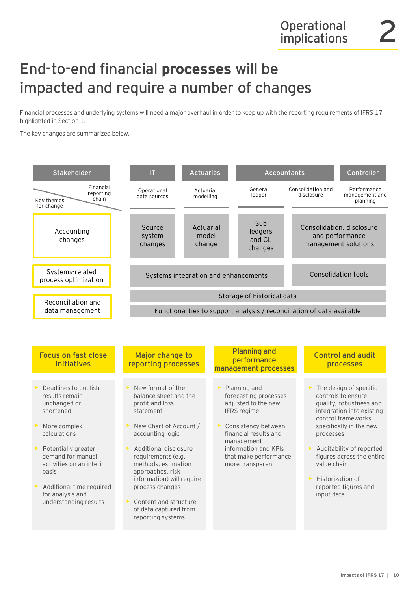### End-to-end financial **processes** will be impacted and require a number of changes

Financial processes and underlying systems will need a major overhaul in order to keep up with the reporting requirements of IFRS 17 highlighted in Section 1.

The key changes are summarized below.

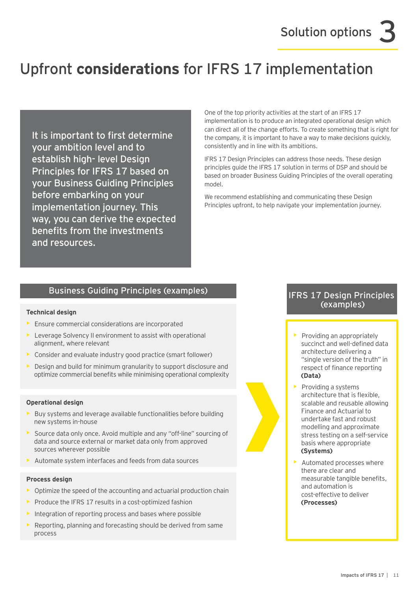# Upfront **considerations** for IFRS 17 implementation

It is important to first determine your ambition level and to establish high- level Design Principles for IFRS 17 based on your Business Guiding Principles before embarking on your implementation journey. This way, you can derive the expected benefits from the investments and resources.

One of the top priority activities at the start of an IFRS 17 implementation is to produce an integrated operational design which can direct all of the change efforts. To create something that is right for the company, it is important to have a way to make decisions quickly, consistently and in line with its ambitions.

IFRS 17 Design Principles can address those needs. These design principles guide the IFRS 17 solution in terms of DSP and should be based on broader Business Guiding Principles of the overall operating model.

We recommend establishing and communicating these Design Principles upfront, to help navigate your implementation journey.

### Business Guiding Principles (examples) The South Research of the Suite of the IFRS 17 Design Principles

#### **Technical design**

- Ensure commercial considerations are incorporated
- Leverage Solvency II environment to assist with operational alignment, where relevant
- Consider and evaluate industry good practice (smart follower)
- Design and build for minimum granularity to support disclosure and optimize commercial benefits while minimising operational complexity

#### **Operational design**

- Buy systems and leverage available functionalities before building new systems in-house
- Source data only once. Avoid multiple and any "off-line" sourcing of data and source external or market data only from approved sources wherever possible
- Automate system interfaces and feeds from data sources

#### **Process design**

- $\triangleright$  Optimize the speed of the accounting and actuarial production chain
- Produce the IFRS 17 results in a cost-optimized fashion
- Integration of reporting process and bases where possible
- Reporting, planning and forecasting should be derived from same process

# (examples)

- $\blacktriangleright$  Providing an appropriately succinct and well-defined data architecture delivering a "single version of the truth" in respect of finance reporting **(Data)**
- Providing a systems architecture that is flexible, scalable and reusable allowing Finance and Actuarial to undertake fast and robust modelling and approximate stress testing on a self-service basis where appropriate **(Systems)**
- Automated processes where there are clear and measurable tangible benefits, and automation is cost-effective to deliver **(Processes)**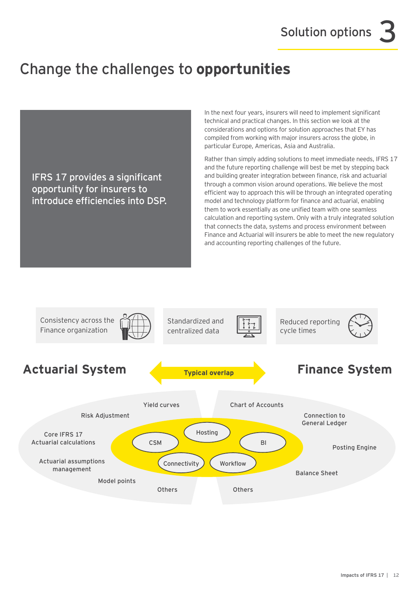### Change the challenges to **opportunities**

IFRS 17 provides a significant opportunity for insurers to introduce efficiencies into DSP. In the next four years, insurers will need to implement significant technical and practical changes. In this section we look at the considerations and options for solution approaches that EY has compiled from working with major insurers across the globe, in particular Europe, Americas, Asia and Australia.

Rather than simply adding solutions to meet immediate needs, IFRS 17 and the future reporting challenge will best be met by stepping back and building greater integration between finance, risk and actuarial through a common vision around operations. We believe the most efficient way to approach this will be through an integrated operating model and technology platform for finance and actuarial, enabling them to work essentially as one unified team with one seamless calculation and reporting system. Only with a truly integrated solution that connects the data, systems and process environment between Finance and Actuarial will insurers be able to meet the new regulatory and accounting reporting challenges of the future.

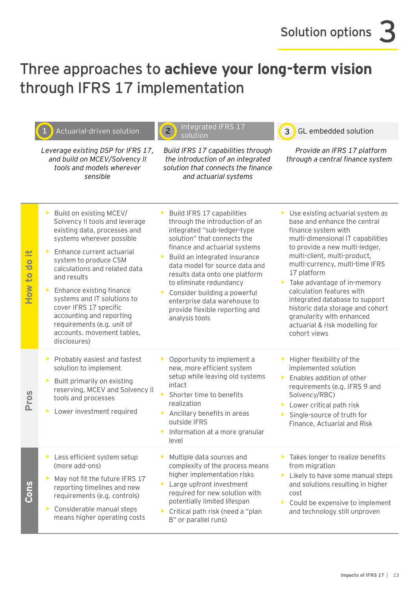### Three approaches to **achieve your long-term vision** through IFRS 17 implementation

 $II = II$  IFRC 17

|                                               | Actuarial-driven solution                                                                                                                                                                                                                                                                                                                                                                                                      | ilitegrated in RS 17<br>$\overline{2}$<br>solution                                                                                                                                                                                                                                                                                                                                                              | GL embedded solution<br>3                                                                                                                                                                                                                                                                                                                                                                                                                                         |
|-----------------------------------------------|--------------------------------------------------------------------------------------------------------------------------------------------------------------------------------------------------------------------------------------------------------------------------------------------------------------------------------------------------------------------------------------------------------------------------------|-----------------------------------------------------------------------------------------------------------------------------------------------------------------------------------------------------------------------------------------------------------------------------------------------------------------------------------------------------------------------------------------------------------------|-------------------------------------------------------------------------------------------------------------------------------------------------------------------------------------------------------------------------------------------------------------------------------------------------------------------------------------------------------------------------------------------------------------------------------------------------------------------|
|                                               | Leverage existing DSP for IFRS 17,<br>and build on MCEV/Solvency II<br>tools and models wherever<br>sensible                                                                                                                                                                                                                                                                                                                   | Build IFRS 17 capabilities through<br>the introduction of an integrated<br>solution that connects the finance<br>and actuarial systems                                                                                                                                                                                                                                                                          | Provide an IFRS 17 platform<br>through a central finance system                                                                                                                                                                                                                                                                                                                                                                                                   |
| 出<br>$\bullet$<br>Ť<br>$\overline{10}$<br>How | Build on existing MCEV/<br>▶<br>Solvency II tools and leverage<br>existing data, processes and<br>systems wherever possible<br>Enhance current actuarial<br>system to produce CSM<br>calculations and related data<br>and results<br>Enhance existing finance<br>systems and IT solutions to<br>cover IFRS 17 specific<br>accounting and reporting<br>requirements (e.g. unit of<br>accounts. movement tables,<br>disclosures) | Build IFRS 17 capabilities<br>through the introduction of an<br>integrated "sub-ledger-type<br>solution" that connects the<br>finance and actuarial systems<br>Build an integrated insurance<br>data model for source data and<br>results data onto one platform<br>to eliminate redundancy<br>Consider building a powerful<br>enterprise data warehouse to<br>provide flexible reporting and<br>analysis tools | Use existing actuarial system as<br>base and enhance the central<br>finance system with<br>multi-dimensional IT capabilities<br>to provide a new multi-ledger,<br>multi-client, multi-product,<br>multi-currency, multi-time IFRS<br>17 platform<br>Take advantage of in-memory<br>calculation features with<br>integrated database to support<br>historic data storage and cohort<br>granularity with enhanced<br>actuarial & risk modelling for<br>cohort views |
| <b>Pros</b>                                   | Probably easiest and fastest<br>solution to implement<br>Built primarily on existing<br>reserving, MCEV and Solvency II<br>tools and processes<br>Lower investment required<br>▶                                                                                                                                                                                                                                               | Opportunity to implement a<br>Þ.<br>new, more efficient system<br>setup while leaving old systems<br>intact<br>Shorter time to benefits<br>realization<br>Ancillary benefits in areas<br>▶<br>outside IFRS<br>Information at a more granular<br>level                                                                                                                                                           | Higher flexibility of the<br>implemented solution<br>Enables addition of other<br>$\blacktriangleright$<br>requirements (e.g. IFRS 9 and<br>Solvency/RBC)<br>Lower critical path risk<br>Single-source of truth for<br>Finance, Actuarial and Risk                                                                                                                                                                                                                |
| Cons                                          | Less efficient system setup<br>▶<br>(more add-ons)<br>May not fit the future IFRS 17<br>reporting timelines and new<br>requirements (e.g. controls)<br>Considerable manual steps<br>▶<br>means higher operating costs                                                                                                                                                                                                          | Multiple data sources and<br>complexity of the process means<br>higher implementation risks<br>Large upfront investment<br>▶<br>required for new solution with<br>potentially limited lifespan<br>Critical path risk (need a "plan<br>B" or parallel runs)                                                                                                                                                      | Takes longer to realize benefits<br>from migration<br>Likely to have some manual steps<br>and solutions resulting in higher<br>cost<br>Could be expensive to implement<br>and technology still unproven                                                                                                                                                                                                                                                           |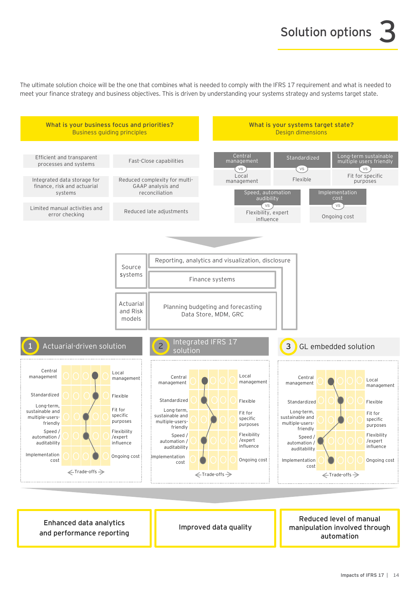The ultimate solution choice will be the one that combines what is needed to comply with the IFRS 17 requirement and what is needed to meet your finance strategy and business objectives. This is driven by understanding your systems strategy and systems target state.



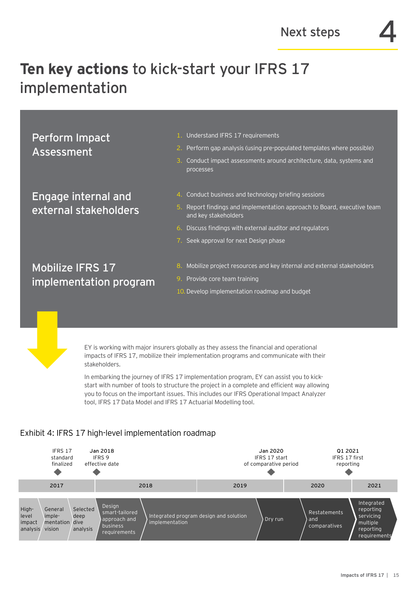# **Ten key actions** to kick-start your IFRS 17 implementation

Perform Impact Assessment

Engage internal and external stakeholders

- 1. Understand IFRS 17 requirements
- 2. Perform gap analysis (using pre-populated templates where possible)
- 3. Conduct impact assessments around architecture, data, systems and processes
- 4. Conduct business and technology briefing sessions
- 5. Report findings and implementation approach to Board, executive team and key stakeholders
- 6. Discuss findings with external auditor and regulators
- 7. Seek approval for next Design phase

Mobilize IFRS 17 implementation program

- 8. Mobilize project resources and key internal and external stakeholders
- 9. Provide core team training
- 10. Develop implementation roadmap and budget

EY is working with major insurers globally as they assess the financial and operational impacts of IFRS 17, mobilize their implementation programs and communicate with their stakeholders.

In embarking the journey of IFRS 17 implementation program, EY can assist you to kickstart with number of tools to structure the project in a complete and efficient way allowing you to focus on the important issues. This includes our IFRS Operational Impact Analyzer tool, IFRS 17 Data Model and IFRS 17 Actuarial Modelling tool.

### Exhibit 4: IFRS 17 high-level implementation roadmap

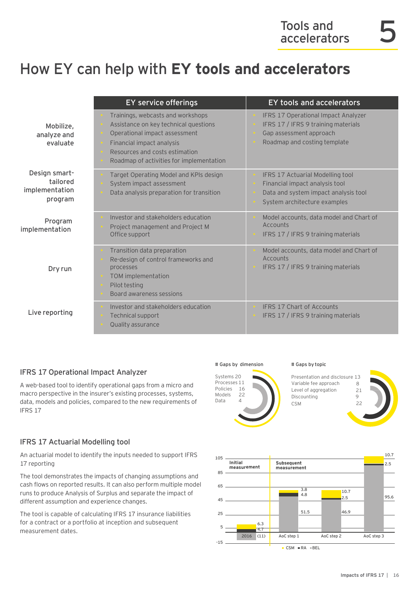### How EY can help with **EY tools and accelerators**

|                                                        | <b>EY service offerings</b>                                                                                                                                                                                            | <b>EY tools and accelerators</b>                                                                                                           |
|--------------------------------------------------------|------------------------------------------------------------------------------------------------------------------------------------------------------------------------------------------------------------------------|--------------------------------------------------------------------------------------------------------------------------------------------|
| Mobilize,<br>analyze and<br>evaluate                   | Trainings, webcasts and workshops<br>Assistance on key technical questions<br>Operational impact assessment<br>Financial impact analysis<br>Resources and costs estimation<br>Roadmap of activities for implementation | IFRS 17 Operational Impact Analyzer<br>IFRS 17 / IFRS 9 training materials<br>Gap assessment approach<br>Roadmap and costing template      |
| Design smart-<br>tailored<br>implementation<br>program | Target Operating Model and KPIs design<br>System impact assessment<br>Data analysis preparation for transition                                                                                                         | IFRS 17 Actuarial Modelling tool<br>Financial impact analysis tool<br>Data and system impact analysis tool<br>System architecture examples |
| Program<br>implementation                              | Investor and stakeholders education<br>Project management and Project M<br>Office support                                                                                                                              | Model accounts, data model and Chart of<br>Accounts<br>IFRS 17 / IFRS 9 training materials                                                 |
| Dry run                                                | Transition data preparation<br>Re-design of control frameworks and<br>processes<br>TOM implementation<br>Pilot testing<br>Board awareness sessions                                                                     | Model accounts, data model and Chart of<br>Accounts<br>IFRS 17 / IFRS 9 training materials                                                 |
| Live reporting                                         | Investor and stakeholders education<br>Technical support<br>Quality assurance                                                                                                                                          | <b>IFRS 17 Chart of Accounts</b><br>IFRS 17 / IFRS 9 training materials                                                                    |

### IFRS 17 Operational Impact Analyzer

A web-based tool to identify operational gaps from a micro and macro perspective in the insurer's existing processes, systems, data, models and policies, compared to the new requirements of IFRS 17

### IFRS 17 Actuarial Modelling tool

An actuarial model to identify the inputs needed to support IFRS 17 reporting

The tool demonstrates the impacts of changing assumptions and cash flows on reported results. It can also perform multiple model runs to produce Analysis of Surplus and separate the impact of different assumption and experience changes.

The tool is capable of calculating IFRS 17 insurance liabilities for a contract or a portfolio at inception and subsequent measurement dates.

#### # Gaps by dimension



Presentation and disclosure 13 Variable fee approach Level of aggregation **Discounting**  $CSM$ 

# Gaps by topic



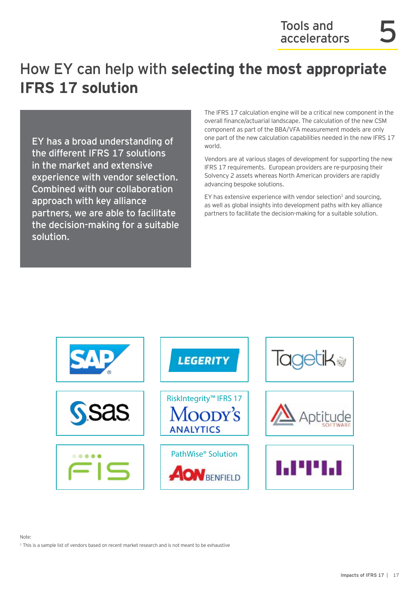### How EY can help with **selecting the most appropriate IFRS 17 solution**

EY has a broad understanding of the different IFRS 17 solutions in the market and extensive experience with vendor selection. Combined with our collaboration approach with key alliance partners, we are able to facilitate the decision-making for a suitable solution.

The IFRS 17 calculation engine will be a critical new component in the overall finance/actuarial landscape. The calculation of the new CSM component as part of the BBA/VFA measurement models are only one part of the new calculation capabilities needed in the new IFRS 17 world.

Vendors are at various stages of development for supporting the new IFRS 17 requirements. European providers are re-purposing their Solvency 2 assets whereas North American providers are rapidly advancing bespoke solutions.

EY has extensive experience with vendor selection<sup>1</sup> and sourcing, as well as global insights into development paths with key alliance partners to facilitate the decision-making for a suitable solution.



#### Note:

<sup>1</sup> This is a sample list of vendors based on recent market research and is not meant to be exhaustive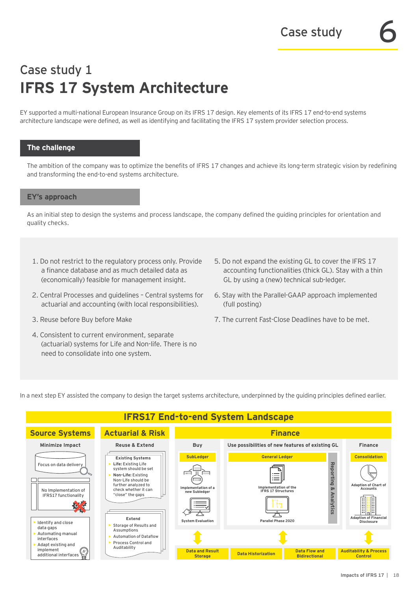### Case study 1 **IFRS 17 System Architecture**

EY supported a multi-national European Insurance Group on its IFRS 17 design. Key elements of its IFRS 17 end-to-end systems architecture landscape were defined, as well as identifying and facilitating the IFRS 17 system provider selection process.

#### **The challenge**

The ambition of the company was to optimize the benefits of IFRS 17 changes and achieve its long-term strategic vision by redefining and transforming the end-to-end systems architecture.

#### **EY's approach**

As an initial step to design the systems and process landscape, the company defined the guiding principles for orientation and quality checks.

- 1. Do not restrict to the regulatory process only. Provide a finance database and as much detailed data as (economically) feasible for management insight.
- 2. Central Processes and guidelines Central systems for actuarial and accounting (with local responsibilities).
- 3. Reuse before Buy before Make
- 4. Consistent to current environment, separate (actuarial) systems for Life and Non-life. There is no need to consolidate into one system.
- 5. Do not expand the existing GL to cover the IFRS 17 accounting functionalities (thick GL). Stay with a thin GL by using a (new) technical sub-ledger.
- 6. Stay with the Parallel-GAAP approach implemented (full posting)
- 7. The current Fast-Close Deadlines have to be met.

In a next step EY assisted the company to design the target systems architecture, underpinned by the guiding principles defined earlier.

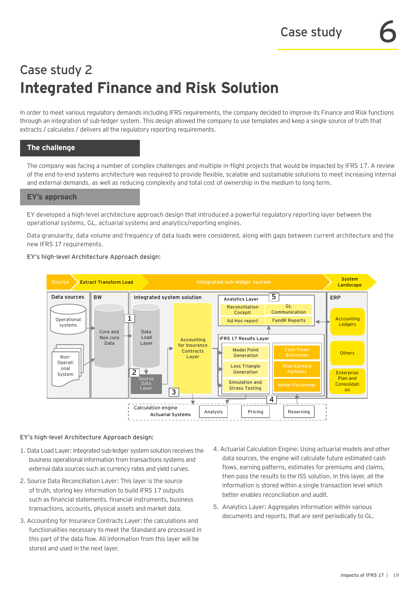### Case study 2 **Integrated Finance and Risk Solution**

In order to meet various regulatory demands including IFRS requirements, the company decided to improve its Finance and Risk functions through an integration of sub-ledger system. This design allowed the company to use templates and keep a single source of truth that extracts / calculates / delivers all the regulatory reporting requirements.

### **The challenge**

The company was facing a number of complex challenges and multiple in-flight projects that would be impacted by IFRS 17. A review of the end-to-end systems architecture was required to provide flexible, scalable and sustainable solutions to meet increasing internal and external demands, as well as reducing complexity and total cost of ownership in the medium to long term.

#### **EY's approach**

EY developed a high-level architecture approach design that introduced a powerful regulatory reporting layer between the operational systems, GL, actuarial systems and analytics/reporting engines.

Data granularity, data volume and frequency of data loads were considered, along with gaps between current architecture and the new IFRS 17 requirements.

#### EY's high-level Architecture Approach design:



#### EY's high-level Architecture Approach design:

- 1. Data Load Layer: Integrated sub-ledger system solution receives the business operational information from transactions systems and external data sources such as currency rates and yield curves.
- 2. Source Data Reconciliation Layer: This layer is the source of truth, storing key information to build IFRS 17 outputs such as financial statements, financial instruments, business transactions, accounts, physical assets and market data.
- 3. Accounting for Insurance Contracts Layer: the calculations and functionalities necessary to meet the Standard are processed in this part of the data flow. All information from this layer will be stored and used in the next layer.
- 4. Actuarial Calculation Engine: Using actuarial models and other data sources, the engine will calculate future estimated cash flows, earning patterns, estimates for premiums and claims, then pass the results to the ISS solution. In this layer, all the information is stored within a single transaction level which better enables reconciliation and audit.
- 5. Analytics Layer: Aggregates information within various documents and reports, that are sent periodically to GL.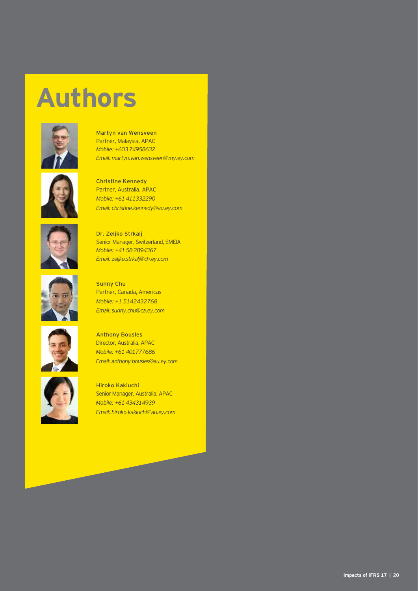# **Authors**



**Martyn van Wensveen** Partner, Malaysia, APAC *Mobile: +60374958632 Email: martyn.van.wensveen@my.ey.com*



**Christine Kennedy** Partner, Australia, APAC *Mobile: +61411332290 Email: christine.kennedy@au.ey.com*



**Dr. Zeljko Strkalj** Senior Manager, Switzerland, EMEIA *Mobile: +41582894367 Email: zeljko.strkalj@ch.ey.com*





Partner, Canada, Americas *Mobile: +1 5142432768*

**Sunny Chu**



**Hiroko Kakiuchi** Senior Manager, Australia, APAC *Mobile: +61434314939 Email: hiroko.kakiuchi@au.ey.com*

*Email: anthony.bousles@au.ey.com*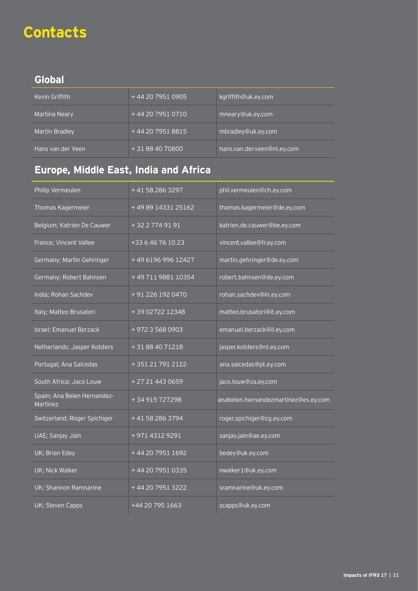# **Contacts**

### **Global**

| Kevin Griffith    | +44 20 7951 0905 | kgriffith@uk.ey.com         |
|-------------------|------------------|-----------------------------|
| Martina Neary     | +44 20 7951 0710 | mneary@uk.ey.com            |
| Martin Bradley    | +44 20 7951 8815 | mbradley@uk.ey.com          |
| Hans van der Veen | + 31 88 40 70800 | hans.van.der.veen@nl.ey.com |

### **Europe, Middle East, India and Africa**

| Philip Vermeulen                        | +41 58 286 3297    | phil.vermeulen@ch.ey.com             |
|-----------------------------------------|--------------------|--------------------------------------|
|                                         |                    |                                      |
| Thomas Kagermeier                       | +49891433125162    | thomas.kagermeier@de.ey.com          |
| Belgium; Katrien De Cauwer              | +3227749191        | katrien.de.cauwer@be.ey.com          |
| France; Vincent Vallee                  | +33 6 46 76 10 23  | vincent.vallee@fr.ey.com             |
| Germany; Martin Gehringer               | +49 6196 996 12427 | martin.gehringer@de.ey.com           |
| Germany; Robert Bahnsen                 | +49711988110354    | robert.bahnsen@de.ey.com             |
| India; Rohan Sachdev                    | + 91 226 192 0470  | rohan.sachdev@in.ey.com              |
| Italy; Matteo Brusatori                 | +39 02722 12348    | matteo.brusatori@it.ey.com           |
| Israel; Emanuel Berzack                 | +97235680903       | emanuel.berzack@il.ey.com            |
| Netherlands; Jasper Kolsters            | +31884071218       | jasper.kolsters@nl.ey.com            |
| Portugal; Ana Salcedas                  | +351217912122      | ana.salcedas@pt.ey.com               |
| South Africa; Jaco Louw                 | +27214430659       | jaco.louw@za.ey.com                  |
| Spain; Ana Belen Hernandez-<br>Martinez | +34915727298       | anabelen.hernandezmartinez@es.ey.com |
| Switzerland; Roger Spichiger            | +41582863794       | roger.spichiger@cg.ey.com            |
| UAE; Sanjay Jain                        | +971 4312 9291     | sanjay.jain@ae.ey.com                |
| UK; Brian Edey                          | +44 20 7951 1692   | bedey@uk.ey.com                      |
| UK; Nick Walker                         | +44 20 7951 0335   | nwalker1@uk.ey.com                   |
| UK; Shannon Ramnarine                   | +44 20 7951 3222   | sramnarine@uk.ey.com                 |
| UK; Steven Capps                        | +44 20 795 1663    | scapps@uk.ey.com                     |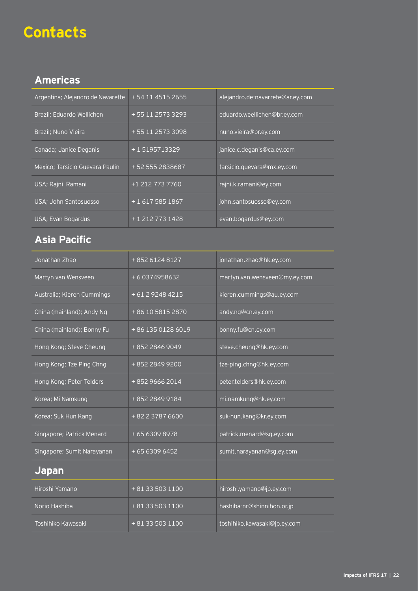### **Contacts**

### **Americas**

| Argentina; Alejandro de Navarette | + 54 11 4515 2655 | alejandro.de-navarrete@ar.ey.com |
|-----------------------------------|-------------------|----------------------------------|
| Brazil; Eduardo Wellichen         | + 55 11 2573 3293 | eduardo.weellichen@br.ey.com     |
| Brazil; Nuno Vieira               | +55 11 2573 3098  | nuno.vieira@br.ey.com            |
| Canada; Janice Deganis            | +15195713329      | janice.c.deganis@ca.ey.com       |
| Mexico; Tarsicio Guevara Paulin   | +52 555 2838687   | tarsicio.quevara@mx.ey.com       |
| USA; Rajni Ramani                 | +1 212 773 7760   | rajni.k.ramani@ey.com            |
| USA; John Santosuosso             | + 1 617 585 1867  | john.santosuosso@ey.com          |
| USA; Evan Bogardus                | + 1 212 773 1428  | evan.bogardus@ey.com             |

### **Asia Pacific**

| Jonathan Zhao              | +85261248127      | jonathan.zhao@hk.ey.com       |
|----------------------------|-------------------|-------------------------------|
| Martyn van Wensveen        | +60374958632      | martyn.van.wensveen@my.ey.com |
| Australia; Kieren Cummings | +61292484215      | kieren.cummings@au.ey.com     |
| China (mainland); Andy Ng  | +86 10 5815 2870  | andy.ng@cn.ey.com             |
| China (mainland); Bonny Fu | +86 135 0128 6019 | bonny.fu@cn.ey.com            |
| Hong Kong; Steve Cheung    | +852 2846 9049    | steve.cheung@hk.ey.com        |
| Hong Kong; Tze Ping Chng   | +852 2849 9200    | tze-ping.chng@hk.ey.com       |
| Hong Kong; Peter Telders   | +85296662014      | peter.telders@hk.ey.com       |
| Korea; Mi Namkung          | +852 2849 9184    | mi.namkung@hk.ey.com          |
| Korea; Suk Hun Kang        | + 82 2 3787 6600  | suk-hun.kang@kr.ey.com        |
| Singapore; Patrick Menard  | +6563098978       | patrick.menard@sg.ey.com      |
| Singapore; Sumit Narayanan | + 65 6309 6452    | sumit.narayanan@sg.ey.com     |
| <b>Japan</b>               |                   |                               |
| Hiroshi Yamano             | + 81 33 503 1100  | hiroshi.yamano@jp.ey.com      |
| Norio Hashiba              | + 81 33 503 1100  | hashiba-nr@shinnihon.or.jp    |
| Toshihiko Kawasaki         | + 81 33 503 1100  | toshihiko.kawasaki@jp.ey.com  |